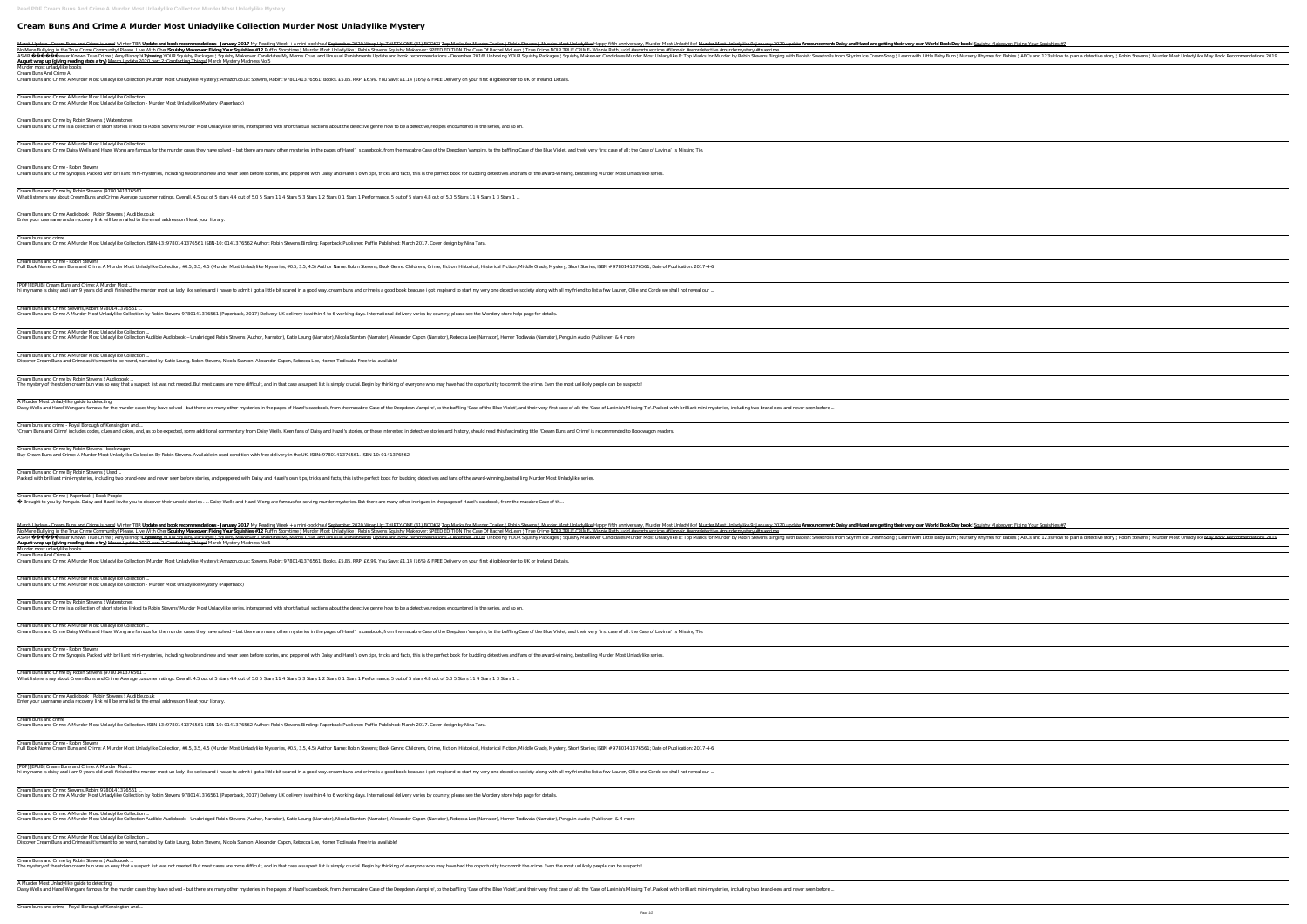## **Cream Buns And Crime A Murder Most Unladylike Collection Murder Most Unladylike Mystery**

Narch Update - Cream Burs and Crime is here! Winter TBR **Update and book recommendations - January 2017** My Reading Week + a mini-bookhaul September 2020 Wrap Up: THRTY-ONE (31) BOOKS! Top Marks for Murder Most Unladylike No More Bullying in the True Crime Community! Please. Live With Cher!**Squishy Makeover: Fixing Your Squishies #12** Puffin Storytime | Murder Most Unladylike | Robin Stevens Squishy Makeover: SPEED EDITION The Case Of Rache Lesser Known True Crime | Amy Bishop's Tyran<del>kyaboxing YOUR Squishy Packages | Squishy Packages | Squishy Makeover Candidates My Mom's Cruel and Unusual Punishments Update and book recommendations December 2016! Unboxing Y</del> **August wrap up (giving reading stats a try)** March Update 2020 part 2: Comforting Things! March Mystery Madness No 5 Murder most unladylike books Cream Buns And Crime A Cream Buns and Crime: A Murder Most Unladylike Collection (Murder Most Unladylike Mystery): Amazon.co.uk: Stevens, Robin: 9780141376561: Books. £5.85. RRP: £6.99. You Save: £1.14 (16%) & FREE Delivery on your first eligibl Cream Buns and Crime: A Murder Most Unladylike Collection ... Cream Buns and Crime: A Murder Most Unladylike Collection - Murder Most Unladylike Mystery (Paperback) Cream Buns and Crime by Robin Stevens | Waterstones Cream Buns and Crime is a collection of short stories linked to Robin Stevens' Murder Most Unladylike series, interspersed with short factual sections about the detective genre, how to be a detective, recipes encountered i Cream Buns and Crime: A Murder Most Unladylike Collection ... Cream Buns and Crime Daisy Wells and Hazel Wong are famous for the murder cases they have solved – but there are many other mysteries in the pages of Hazel's casebook, from the macabre Case of the Deepdean Vampire, to the Cream Buns and Crime - Robin Stevens Cream Buns and Crime Synopsis. Packed with brilliant mini-mysteries, including two brand-new and never seen before stories, and peppered with Daisy and Hazel's own tips, tricks and facts, this is the perfect book for buddi Cream Buns and Crime by Robin Stevens (9780141376561 ... What listeners say about Cream Buns and Crime. Average customer ratings. Overall. 4.5 out of 5 stars 4.4 out of 5.0 5 Stars 11 4 Stars 5 3 Stars 1 2 Stars 0 1 Stars 1 Performance. 5 out of 5 stars 4.8 out of 5.0 5 Stars 11 Cream Buns and Crime Audiobook | Robin Stevens | Audible.co.uk Enter your username and a recovery link will be emailed to the email address on file at your library. Cream buns and crime Cream Buns and Crime: A Murder Most Unladylike Collection. ISBN-13: 9780141376561 ISBN-10: 0141376562 Author: Robin Stevens Binding: Paperback Publisher: Puffin Published: March 2017. Cover design by Nina Tara. Cream Buns and Crime - Robin Stevens Full Book Name: Cream Buns and Crime: A Murder Most Unladylike Collection, #0.5, 3.5, 4.5 (Murder Most Unladylike Mysteries, #0.5, 3.5, 4.5) Author Name: Robin Stevens; Book Genre: Childrens, Crime, Fiction, Historical Fic [PDF] [EPUB] Cream Buns and Crime: A Murder Most ... hi my name is daisy and i am 9 years old and i finished the murder most un lady like series and i havse to admit i got a little bit scared in a good way. cream buns and crime is a good book beacuse i got inspiserd to start Cream Buns and Crime: Stevens, Robin: 9780141376561 ... Cream Buns and Crime A Murder Most Unladylike Collection by Robin Stevens 9780141376561 (Paperback, 2017) Delivery UK delivery is within 4 to 6 working days. International delivery varies by country, please see the Wordery Cream Buns and Crime: A Murder Most Unladylike Collection ... Cream Buns and Crime: A Murder Most Unladylike Collection Audible Audiobook – Unabridged Robin Stevens (Author, Narrator), Katie Leung (Narrator), Nicola Stanton (Narrator), Alexander Capon (Narrator), Rebecca Lee (Narrato Cream Buns and Crime: A Murder Most Unladylike Collection ... Discover Cream Buns and Crime as it's meant to be heard, narrated by Katie Leung, Robin Stevens, Nicola Stanton, Alexander Capon, Rebecca Lee, Homer Todiwala. Free trial available! Cream Buns and Crime by Robin Stevens | Audiobook ... The mystery of the stolen cream bun was so easy that a suspect list was not needed. But most cases are more difficult, and in that case a suspect list is simply crucial. Begin by thinking of everyone who may have had the o A Murder Most Unladylike guide to detecting Daisy Wells and Hazel Wong are famous for the murder cases they have solved - but there are many other mysteries in the pages of Hazel's casebook, from the macabre 'Case of the Deepdean Vampire', to the baffling 'Case of t Cream buns and crime - Royal Borough of Kensington and ... 'Cream Buns and Crime' includes codes, clues and cakes, and, as to be expected, some additional commentary from Daisy Wells. Keen fans of Daisy and Hazel's stories, or those interested in detective stories and history, sho Cream Buns and Crime by Robin Stevens - bookwagon Buy Cream Buns and Crime: A Murder Most Unladylike Collection By Robin Stevens. Available in used condition with free delivery in the UK. ISBN: 9780141376561. ISBN-10: 0141376562 Cream Buns and Crime By Robin Stevens | Used. Packed with brilliant mini-mysteries, including two brand-new and never seen before stories, and peppered with Daisy and Hazel's own tips, tricks and facts, this is the perfect book for budding detectives and fans of the a Cream Buns and Crime | Paperback | Book People Brought to you by Penguin. Daisy and Hazel invite you to discover their untold stories ... Daisy Wells and Hazel Wong are famous for solving murder mysteries. But there are many other intrigues in the pages of Hazel's case March Update - Cream Buns and Crime is here! Winter TBR **Update and book recommendations - January 2017** *My Reading Week + a mini-bookhaul* September 2020 Wrap Up: THIRTY-ONE (31) BOOKS! Top Marks for Murder Most Unladyli No More Bullying in the True Crime Community! Please. Live With Cher!**Squishy Makeover: Fixing Your Squishies #12** Puffin Storytime / Murder Most Unladylike / Robin Stevens Squishy Makeover: SPEED EDITION The Case Of Rache ASMR Lesser Known True Crime | Amy Bishop's Tyrani<del>byhoxing YOUR Squishy Packages | Squishy Makeover Candidates My Mom's Cruel and Unusual Punishments Update and book recommendations - December 2016! Unboxing YOUR Squishy </del> **August wrap up (giving reading stats a try)** March Update 2020 part 2: Comforting Things! March Mystery Madness No 5 Murder most unladylike books Cream Buns And Crime A Cream Buns and Crime: A Murder Most Unladylike Collection (Murder Most Unladylike Mystery): Amazon.co.uk: Stevens, Robin: 9780141376561: Books. £5.85. RRP: £6.99. You Save: £1.14 (16%) & FREE Delivery on your first eligibl Cream Buns and Crime: A Murder Most Unladylike Collection ... Cream Buns and Crime: A Murder Most Unladylike Collection - Murder Most Unladylike Mystery (Paperback) Cream Buns and Crime by Robin Stevens | Waterstones Cream Buns and Crime is a collection of short stories linked to Robin Stevens' Murder Most Unladylike series, interspersed with short factual sections about the detective genre, how to be a detective, recipes encountered i Cream Buns and Crime: A Murder Most Unladylike Collection ... Cream Buns and Crime Daisy Wells and Hazel Wong are famous for the murder cases they have solved – but there are many other mysteries in the pages of Hazel's casebook, from the macabre Case of the Deepdean Vampire, to the Cream Buns and Crime - Robin Stevens Cream Buns and Crime Synopsis. Packed with brilliant mini-mysteries, including two brand-new and never seen before stories, and peppered with Daisy and Hazel's own tips, tricks and facts, this is the perfect book for buddi Cream Buns and Crime by Robin Stevens (9780141376561 ... What listeners say about Cream Buns and Crime. Average customer ratings. Overall. 4.5 out of 5 stars 4.4 out of 5.0 5 Stars 11 4 Stars 5 3 Stars 1 2 Stars 0 1 Stars 1 Performance. 5 out of 5 stars 4.8 out of 5.0 5 Stars 11 Cream Buns and Crime Audiobook | Robin Stevens | Audible.co.uk Enter your username and a recovery link will be emailed to the email address on file at your library. Cream buns and crime Cream Buns and Crime: A Murder Most Unladylike Collection. ISBN-13: 9780141376561 ISBN-10: 0141376562 Author: Robin Stevens Binding: Paperback Publisher: Puffin Published: March 2017. Cover design by Nina Tara. Cream Buns and Crime - Robin Stevens Full Book Name: Cream Buns and Crime: A Murder Most Unladylike Collection, #0.5, 3.5, 4.5 (Murder Most Unladylike Mysteries, #0.5, 3.5, 4.5) Author Name: Robin Stevens; Book Genre: Childrens, Crime, Fiction, Historical, Hi [PDF] [EPUB] Cream Buns and Crime: A Murder Most ... hi my name is daisy and i am 9 years old and i finished the murder most un lady like series and i havse to admit i got a little bit scared in a good way. cream buns and crime is a good book beacuse i got inspiserd to start Cream Buns and Crime: Stevens, Robin: 9780141376561 ... Cream Buns and Crime A Murder Most Unladylike Collection by Robin Stevens 9780141376561 (Paperback, 2017) Delivery UK delivery is within 4 to 6 working days. International delivery varies by country, please see the Wordery Cream Buns and Crime: A Murder Most Unladylike Collection ... Cream Buns and Crime: A Murder Most Unladylike Collection Audible Audiobook – Unabridged Robin Stevens (Author, Narrator), Katie Leung (Narrator), Alexander Capon (Narrator), Rebecca Lee (Narrator), Homer Todiwala (Narrato Cream Buns and Crime: A Murder Most Unladylike Collection ... Discover Cream Buns and Crime as it's meant to be heard, narrated by Katie Leung, Robin Stevens, Nicola Stanton, Alexander Capon, Rebecca Lee, Homer Todiwala. Free trial available! Cream Buns and Crime by Robin Stevens | Audiobook ... The mystery of the stolen cream bun was so easy that a suspect list was not needed. But most cases are more difficult, and in that case a suspect list is simply crucial. Begin by thinking of everyone who may have had the o A Murder Most Unladylike guide to detecting Daisy Wells and Hazel Wong are famous for the murder cases they have solved - but there are many other mysteries in the pages of Hazel's casebook, from the macabre 'Case of all: the 'Case of all: the 'Case of Lavinia's Mis

| <u>Aurder Most Unladylike 9: January 2020 update <mark>Announcement: Daisy and Hazel are getting their very own World Book Day book! Squishy Makeover: Fixing Your Squi</mark></u><br>detective #murdermystery #truecrime<br>rks for Murder by Robin Stevens <i>Binging with Babish: Sweetrolls from Skyrim Ice Cream Song ¦ Learn with Little Baby Bum ¦ Nursery Rhymes for Babies ¦ ABCs and 12</i><br>e.<br>$17-4-6$<br>l our<br>nini-mysteries, including two brand-new and never seen before<br><del>Aurder Most Unladylike 9: January 2020 update</del> <b>Armuncement: Daisy and Hazel are getting their very own World Book Day book!</b> Squishy Makeover: Fixing Your Squi<br>detective #murdermystery #truecrime<br>rks for Murder by Robin Stevens <i>Binging with Babish: Sweetrolls from Skyrim Ice Cream Song¦ Learn with Little Baby Bum¦Nursery Rhymes for Babies¦ABCs and 12</i><br>е.<br>$17-4-6$<br>l our |  |
|-------------------------------------------------------------------------------------------------------------------------------------------------------------------------------------------------------------------------------------------------------------------------------------------------------------------------------------------------------------------------------------------------------------------------------------------------------------------------------------------------------------------------------------------------------------------------------------------------------------------------------------------------------------------------------------------------------------------------------------------------------------------------------------------------------------------------------------------------------------------------------------------------------------------------------|--|
|                                                                                                                                                                                                                                                                                                                                                                                                                                                                                                                                                                                                                                                                                                                                                                                                                                                                                                                               |  |
|                                                                                                                                                                                                                                                                                                                                                                                                                                                                                                                                                                                                                                                                                                                                                                                                                                                                                                                               |  |
|                                                                                                                                                                                                                                                                                                                                                                                                                                                                                                                                                                                                                                                                                                                                                                                                                                                                                                                               |  |
|                                                                                                                                                                                                                                                                                                                                                                                                                                                                                                                                                                                                                                                                                                                                                                                                                                                                                                                               |  |
|                                                                                                                                                                                                                                                                                                                                                                                                                                                                                                                                                                                                                                                                                                                                                                                                                                                                                                                               |  |
|                                                                                                                                                                                                                                                                                                                                                                                                                                                                                                                                                                                                                                                                                                                                                                                                                                                                                                                               |  |
|                                                                                                                                                                                                                                                                                                                                                                                                                                                                                                                                                                                                                                                                                                                                                                                                                                                                                                                               |  |
|                                                                                                                                                                                                                                                                                                                                                                                                                                                                                                                                                                                                                                                                                                                                                                                                                                                                                                                               |  |
|                                                                                                                                                                                                                                                                                                                                                                                                                                                                                                                                                                                                                                                                                                                                                                                                                                                                                                                               |  |
|                                                                                                                                                                                                                                                                                                                                                                                                                                                                                                                                                                                                                                                                                                                                                                                                                                                                                                                               |  |
|                                                                                                                                                                                                                                                                                                                                                                                                                                                                                                                                                                                                                                                                                                                                                                                                                                                                                                                               |  |
|                                                                                                                                                                                                                                                                                                                                                                                                                                                                                                                                                                                                                                                                                                                                                                                                                                                                                                                               |  |
|                                                                                                                                                                                                                                                                                                                                                                                                                                                                                                                                                                                                                                                                                                                                                                                                                                                                                                                               |  |
|                                                                                                                                                                                                                                                                                                                                                                                                                                                                                                                                                                                                                                                                                                                                                                                                                                                                                                                               |  |
|                                                                                                                                                                                                                                                                                                                                                                                                                                                                                                                                                                                                                                                                                                                                                                                                                                                                                                                               |  |
|                                                                                                                                                                                                                                                                                                                                                                                                                                                                                                                                                                                                                                                                                                                                                                                                                                                                                                                               |  |
|                                                                                                                                                                                                                                                                                                                                                                                                                                                                                                                                                                                                                                                                                                                                                                                                                                                                                                                               |  |
|                                                                                                                                                                                                                                                                                                                                                                                                                                                                                                                                                                                                                                                                                                                                                                                                                                                                                                                               |  |
|                                                                                                                                                                                                                                                                                                                                                                                                                                                                                                                                                                                                                                                                                                                                                                                                                                                                                                                               |  |
|                                                                                                                                                                                                                                                                                                                                                                                                                                                                                                                                                                                                                                                                                                                                                                                                                                                                                                                               |  |
|                                                                                                                                                                                                                                                                                                                                                                                                                                                                                                                                                                                                                                                                                                                                                                                                                                                                                                                               |  |
|                                                                                                                                                                                                                                                                                                                                                                                                                                                                                                                                                                                                                                                                                                                                                                                                                                                                                                                               |  |
|                                                                                                                                                                                                                                                                                                                                                                                                                                                                                                                                                                                                                                                                                                                                                                                                                                                                                                                               |  |
|                                                                                                                                                                                                                                                                                                                                                                                                                                                                                                                                                                                                                                                                                                                                                                                                                                                                                                                               |  |
|                                                                                                                                                                                                                                                                                                                                                                                                                                                                                                                                                                                                                                                                                                                                                                                                                                                                                                                               |  |
|                                                                                                                                                                                                                                                                                                                                                                                                                                                                                                                                                                                                                                                                                                                                                                                                                                                                                                                               |  |
|                                                                                                                                                                                                                                                                                                                                                                                                                                                                                                                                                                                                                                                                                                                                                                                                                                                                                                                               |  |
|                                                                                                                                                                                                                                                                                                                                                                                                                                                                                                                                                                                                                                                                                                                                                                                                                                                                                                                               |  |
|                                                                                                                                                                                                                                                                                                                                                                                                                                                                                                                                                                                                                                                                                                                                                                                                                                                                                                                               |  |
|                                                                                                                                                                                                                                                                                                                                                                                                                                                                                                                                                                                                                                                                                                                                                                                                                                                                                                                               |  |
|                                                                                                                                                                                                                                                                                                                                                                                                                                                                                                                                                                                                                                                                                                                                                                                                                                                                                                                               |  |
|                                                                                                                                                                                                                                                                                                                                                                                                                                                                                                                                                                                                                                                                                                                                                                                                                                                                                                                               |  |
|                                                                                                                                                                                                                                                                                                                                                                                                                                                                                                                                                                                                                                                                                                                                                                                                                                                                                                                               |  |
|                                                                                                                                                                                                                                                                                                                                                                                                                                                                                                                                                                                                                                                                                                                                                                                                                                                                                                                               |  |
|                                                                                                                                                                                                                                                                                                                                                                                                                                                                                                                                                                                                                                                                                                                                                                                                                                                                                                                               |  |
|                                                                                                                                                                                                                                                                                                                                                                                                                                                                                                                                                                                                                                                                                                                                                                                                                                                                                                                               |  |
|                                                                                                                                                                                                                                                                                                                                                                                                                                                                                                                                                                                                                                                                                                                                                                                                                                                                                                                               |  |
|                                                                                                                                                                                                                                                                                                                                                                                                                                                                                                                                                                                                                                                                                                                                                                                                                                                                                                                               |  |
|                                                                                                                                                                                                                                                                                                                                                                                                                                                                                                                                                                                                                                                                                                                                                                                                                                                                                                                               |  |
|                                                                                                                                                                                                                                                                                                                                                                                                                                                                                                                                                                                                                                                                                                                                                                                                                                                                                                                               |  |
|                                                                                                                                                                                                                                                                                                                                                                                                                                                                                                                                                                                                                                                                                                                                                                                                                                                                                                                               |  |
|                                                                                                                                                                                                                                                                                                                                                                                                                                                                                                                                                                                                                                                                                                                                                                                                                                                                                                                               |  |
|                                                                                                                                                                                                                                                                                                                                                                                                                                                                                                                                                                                                                                                                                                                                                                                                                                                                                                                               |  |
|                                                                                                                                                                                                                                                                                                                                                                                                                                                                                                                                                                                                                                                                                                                                                                                                                                                                                                                               |  |
|                                                                                                                                                                                                                                                                                                                                                                                                                                                                                                                                                                                                                                                                                                                                                                                                                                                                                                                               |  |
|                                                                                                                                                                                                                                                                                                                                                                                                                                                                                                                                                                                                                                                                                                                                                                                                                                                                                                                               |  |
|                                                                                                                                                                                                                                                                                                                                                                                                                                                                                                                                                                                                                                                                                                                                                                                                                                                                                                                               |  |
|                                                                                                                                                                                                                                                                                                                                                                                                                                                                                                                                                                                                                                                                                                                                                                                                                                                                                                                               |  |
|                                                                                                                                                                                                                                                                                                                                                                                                                                                                                                                                                                                                                                                                                                                                                                                                                                                                                                                               |  |
|                                                                                                                                                                                                                                                                                                                                                                                                                                                                                                                                                                                                                                                                                                                                                                                                                                                                                                                               |  |

<u> 1989 - Johann Stoff, deutscher Stoffen und der Stoffen und der Stoffen und der Stoffen und der Stoffen und de</u>